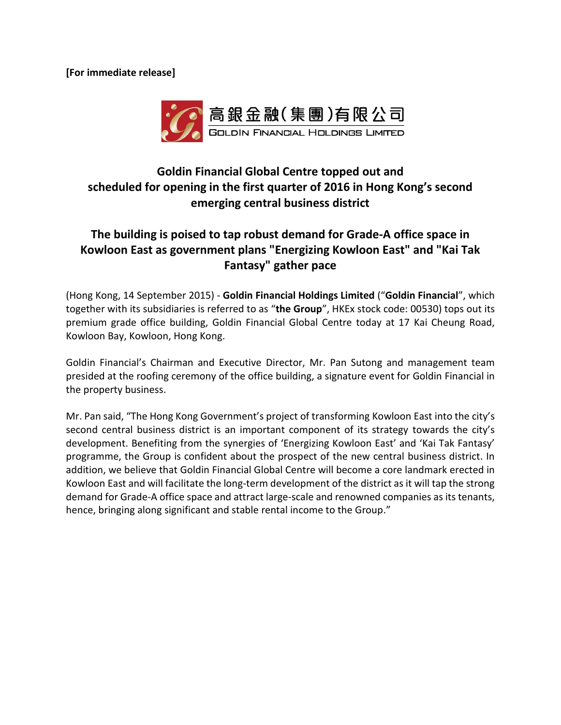**[For immediate release]**



## **Goldin Financial Global Centre topped out and scheduled for opening in the first quarter of 2016 in Hong Kong's second emerging central business district**

## **The building is poised to tap robust demand for Grade-A office space in Kowloon East as government plans "Energizing Kowloon East" and "Kai Tak Fantasy" gather pace**

(Hong Kong, 14 September 2015) - **Goldin Financial Holdings Limited** ("**Goldin Financial**", which together with its subsidiaries is referred to as "**the Group**", HKEx stock code: 00530) tops out its premium grade office building, Goldin Financial Global Centre today at 17 Kai Cheung Road, Kowloon Bay, Kowloon, Hong Kong.

Goldin Financial's Chairman and Executive Director, Mr. Pan Sutong and management team presided at the roofing ceremony of the office building, a signature event for Goldin Financial in the property business.

Mr. Pan said, "The Hong Kong Government's project of transforming Kowloon East into the city's second central business district is an important component of its strategy towards the city's development. Benefiting from the synergies of 'Energizing Kowloon East' and 'Kai Tak Fantasy' programme, the Group is confident about the prospect of the new central business district. In addition, we believe that Goldin Financial Global Centre will become a core landmark erected in Kowloon East and will facilitate the long-term development of the district as it will tap the strong demand for Grade-A office space and attract large-scale and renowned companies as its tenants, hence, bringing along significant and stable rental income to the Group."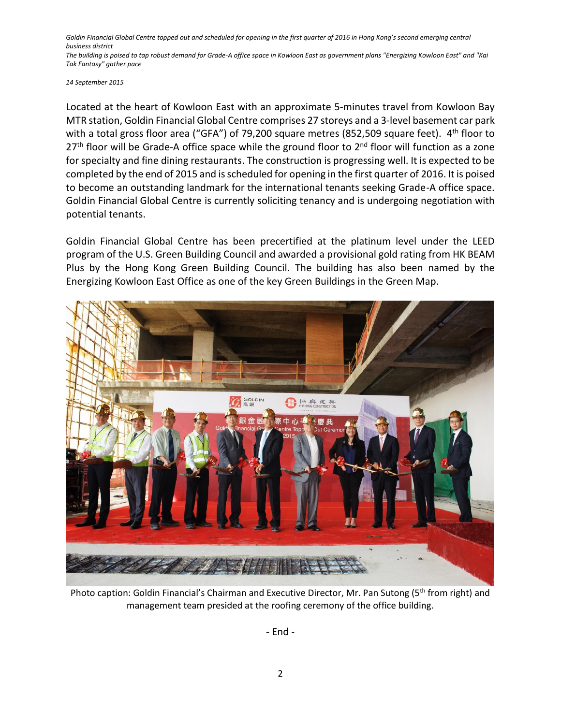*Goldin Financial Global Centre topped out and scheduled for opening in the first quarter of 2016 in Hong Kong's second emerging central business district The building is poised to tap robust demand for Grade-A office space in Kowloon East as government plans "Energizing Kowloon East" and "Kai* 

*Tak Fantasy" gather pace*

*14 September 2015*

Located at the heart of Kowloon East with an approximate 5-minutes travel from Kowloon Bay MTR station, Goldin Financial Global Centre comprises 27 storeys and a 3-level basement car park with a total gross floor area ("GFA") of 79,200 square metres (852,509 square feet). 4<sup>th</sup> floor to 27<sup>th</sup> floor will be Grade-A office space while the ground floor to 2<sup>nd</sup> floor will function as a zone for specialty and fine dining restaurants. The construction is progressing well. It is expected to be completed by the end of 2015 and is scheduled for opening in the first quarter of 2016. It is poised to become an outstanding landmark for the international tenants seeking Grade-A office space. Goldin Financial Global Centre is currently soliciting tenancy and is undergoing negotiation with potential tenants.

Goldin Financial Global Centre has been precertified at the platinum level under the LEED program of the U.S. Green Building Council and awarded a provisional gold rating from HK BEAM Plus by the Hong Kong Green Building Council. The building has also been named by the Energizing Kowloon East Office as one of the key Green Buildings in the Green Map.



Photo caption: Goldin Financial's Chairman and Executive Director, Mr. Pan Sutong (5<sup>th</sup> from right) and management team presided at the roofing ceremony of the office building.

- End -